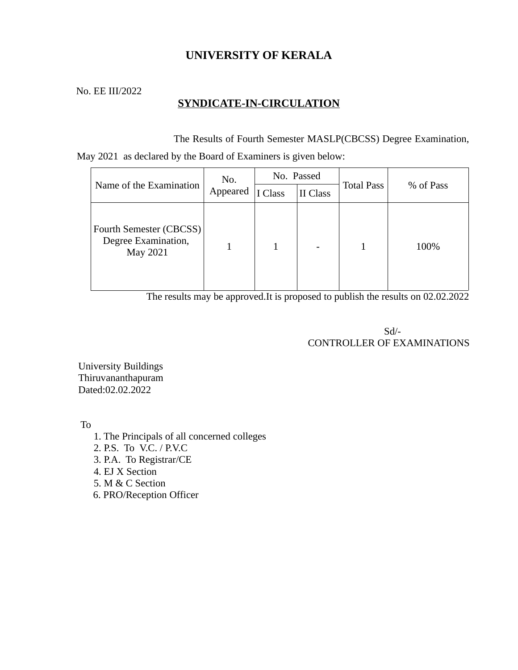# **UNIVERSITY OF KERALA**

No. EE III/2022

## **SYNDICATE-IN-CIRCULATION**

The Results of Fourth Semester MASLP(CBCSS) Degree Examination,

May 2021 as declared by the Board of Examiners is given below:

| Name of the Examination                                    | No.<br>Appeared | No. Passed |          |                   |           |
|------------------------------------------------------------|-----------------|------------|----------|-------------------|-----------|
|                                                            |                 | I Class    | II Class | <b>Total Pass</b> | % of Pass |
| Fourth Semester (CBCSS)<br>Degree Examination,<br>May 2021 |                 |            |          |                   | 100%      |

The results may be approved.It is proposed to publish the results on 02.02.2022

 Sd/- CONTROLLER OF EXAMINATIONS

University Buildings Thiruvananthapuram Dated:02.02.2022

To

- 1. The Principals of all concerned colleges
- 2. P.S. To V.C. / P.V.C
- 3. P.A. To Registrar/CE
- 4. EJ X Section
- 5. M & C Section
- 6. PRO/Reception Officer